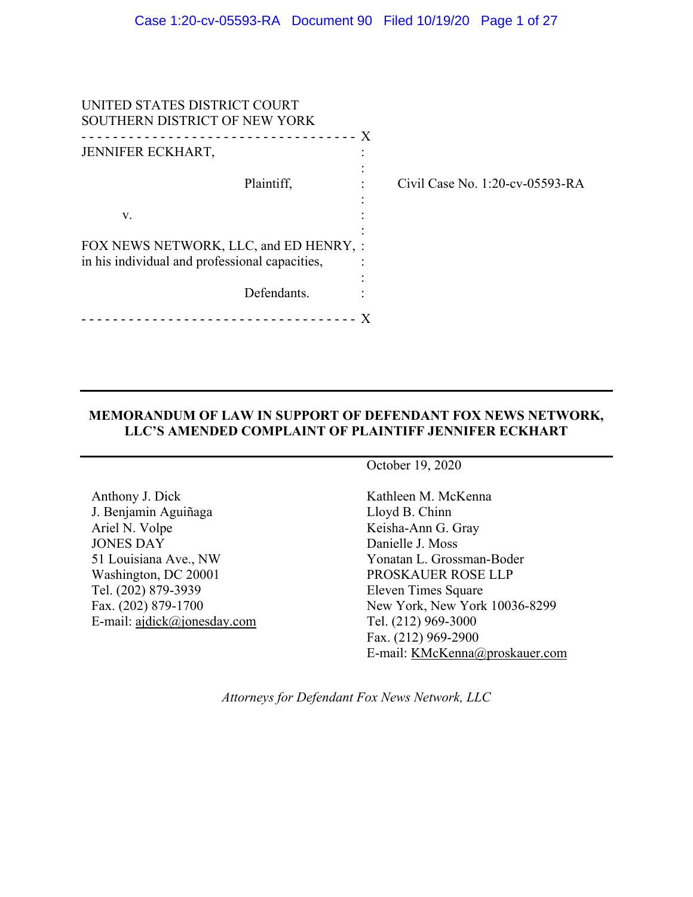| UNITED STATES DISTRICT COURT<br>SOUTHERN DISTRICT OF NEW YORK                            |                                 |
|------------------------------------------------------------------------------------------|---------------------------------|
| JENNIFER ECKHART,                                                                        | X                               |
| Plaintiff,                                                                               | Civil Case No. 1:20-cv-05593-RA |
| V.                                                                                       |                                 |
| FOX NEWS NETWORK, LLC, and ED HENRY, :<br>in his individual and professional capacities, |                                 |
| Defendants.                                                                              |                                 |
|                                                                                          | $\mathbf{X}$                    |

## **MEMORANDUM OF LAW IN SUPPORT OF DEFENDANT FOX NEWS NETWORK, LLC'S AMENDED COMPLAINT OF PLAINTIFF JENNIFER ECKHART**

Anthony J. Dick J. Benjamin Aguiñaga Ariel N. Volpe JONES DAY 51 Louisiana Ave., NW Washington, DC 20001 Tel. (202) 879-3939 Fax. (202) 879-1700 E-mail: ajdick@jonesday.com October 19, 2020

Kathleen M. McKenna Lloyd B. Chinn Keisha-Ann G. Gray Danielle J. Moss Yonatan L. Grossman-Boder PROSKAUER ROSE LLP Eleven Times Square New York, New York 10036-8299 Tel. (212) 969-3000 Fax. (212) 969-2900 E-mail: KMcKenna@proskauer.com

*Attorneys for Defendant Fox News Network, LLC*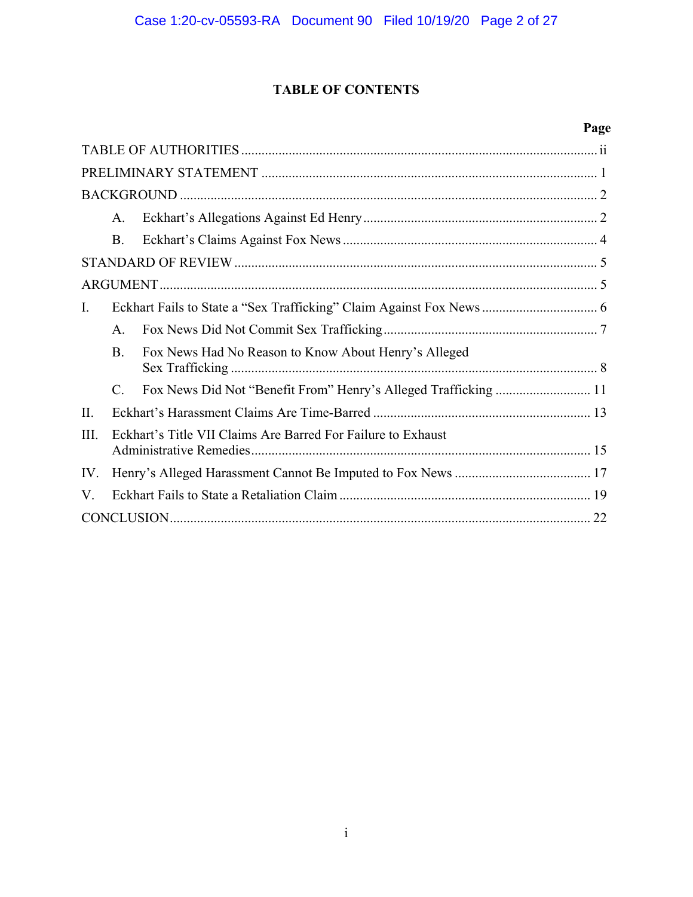# **TABLE OF CONTENTS**

# **Page**

|      | A.                                                           |                                                      |  |  |
|------|--------------------------------------------------------------|------------------------------------------------------|--|--|
|      | Β.                                                           |                                                      |  |  |
|      |                                                              |                                                      |  |  |
|      |                                                              |                                                      |  |  |
| Ι.   |                                                              |                                                      |  |  |
|      | $\mathsf{A}$ .                                               |                                                      |  |  |
|      | <b>B.</b>                                                    | Fox News Had No Reason to Know About Henry's Alleged |  |  |
|      | C.                                                           |                                                      |  |  |
| II.  |                                                              |                                                      |  |  |
| III. | Eckhart's Title VII Claims Are Barred For Failure to Exhaust |                                                      |  |  |
| IV.  |                                                              |                                                      |  |  |
| V.   |                                                              |                                                      |  |  |
|      |                                                              |                                                      |  |  |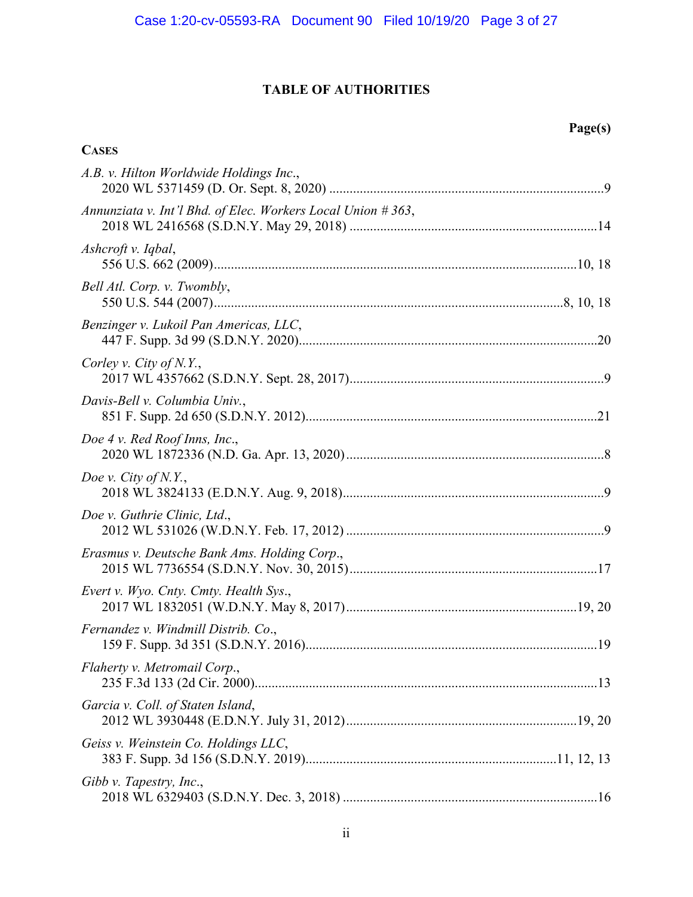# **TABLE OF AUTHORITIES**

| <b>CASES</b>                                                   |
|----------------------------------------------------------------|
| A.B. v. Hilton Worldwide Holdings Inc.,                        |
| Annunziata v. Int'l Bhd. of Elec. Workers Local Union $#363$ , |
| Ashcroft v. Iqbal,                                             |
| Bell Atl. Corp. v. Twombly,                                    |
| Benzinger v. Lukoil Pan Americas, LLC,                         |
| Corley v. City of N.Y.,                                        |
| Davis-Bell v. Columbia Univ.,                                  |
| Doe 4 v. Red Roof Inns, Inc.,                                  |
| Doe v. City of $N.Y.,$                                         |
| Doe v. Guthrie Clinic, Ltd.,                                   |
| Erasmus v. Deutsche Bank Ams. Holding Corp.,                   |
| Evert v. Wyo. Cnty. Cmty. Health Sys.,                         |
| Fernandez v. Windmill Distrib. Co.,                            |
| Flaherty v. Metromail Corp.,                                   |
| Garcia v. Coll. of Staten Island,                              |
| Geiss v. Weinstein Co. Holdings LLC,                           |
| Gibb v. Tapestry, Inc.,                                        |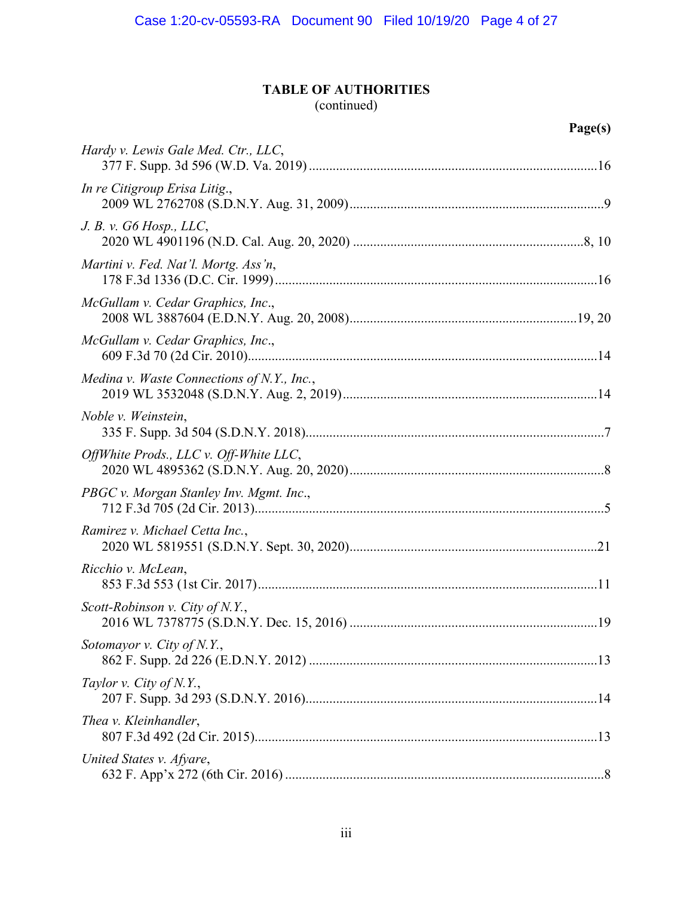# **TABLE OF AUTHORITIES**

# (continued)

| Hardy v. Lewis Gale Med. Ctr., LLC,        |
|--------------------------------------------|
| In re Citigroup Erisa Litig.,              |
| J. B. v. G6 Hosp. LLC,                     |
| Martini v. Fed. Nat'l. Mortg. Ass'n,       |
| McGullam v. Cedar Graphics, Inc.,          |
| McGullam v. Cedar Graphics, Inc.,          |
| Medina v. Waste Connections of N.Y., Inc., |
| Noble v. Weinstein,                        |
| OffWhite Prods., LLC v. Off-White LLC,     |
| PBGC v. Morgan Stanley Inv. Mgmt. Inc.,    |
| Ramirez v. Michael Cetta Inc.,             |
| Ricchio v. McLean,                         |
| Scott-Robinson v. City of N.Y.,            |
| Sotomayor v. City of N.Y.,                 |
| Taylor v. City of N.Y.,                    |
| Thea v. Kleinhandler,                      |
| United States v. Afyare,                   |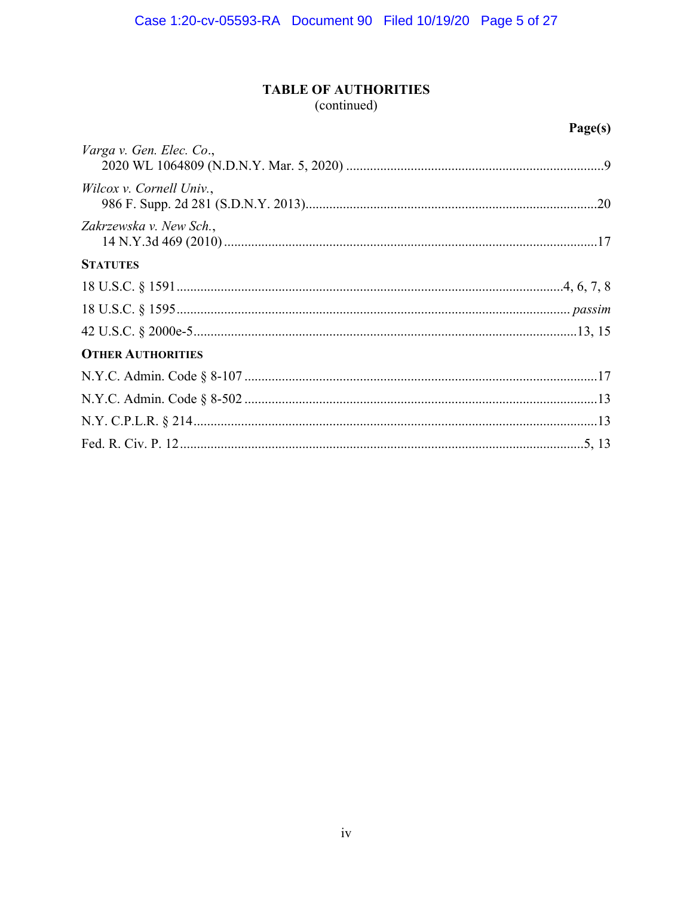# **TABLE OF AUTHORITIES**

(continued)

|                          | Page(s) |
|--------------------------|---------|
| Varga v. Gen. Elec. Co., |         |
| Wilcox v. Cornell Univ., |         |
| Zakrzewska v. New Sch.,  |         |
| <b>STATUTES</b>          |         |
|                          |         |
|                          |         |
|                          |         |
| <b>OTHER AUTHORITIES</b> |         |
|                          |         |
|                          |         |
|                          |         |
|                          |         |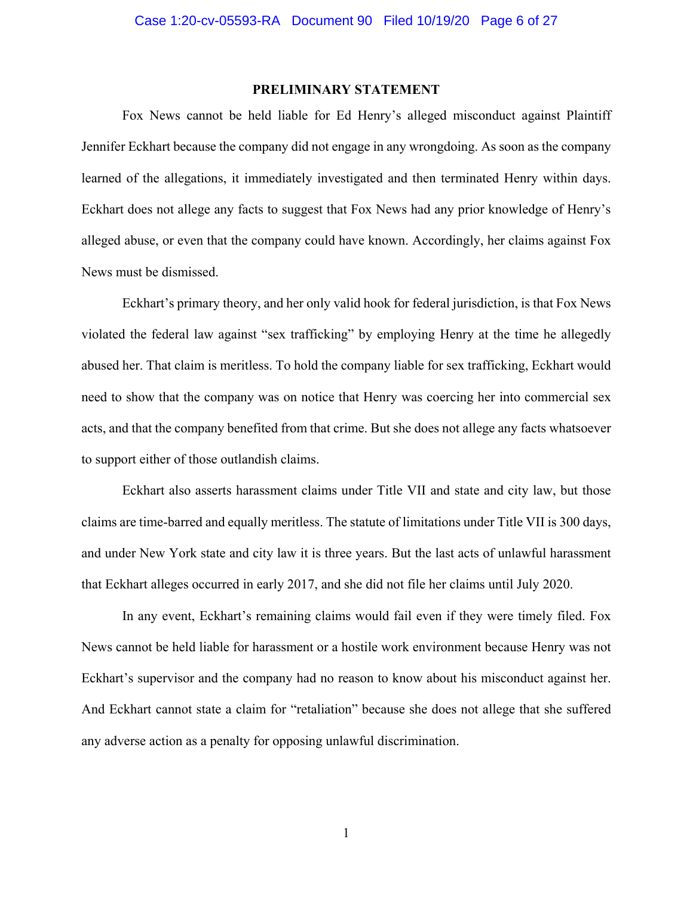## **PRELIMINARY STATEMENT**

 Fox News cannot be held liable for Ed Henry's alleged misconduct against Plaintiff Jennifer Eckhart because the company did not engage in any wrongdoing. As soon as the company learned of the allegations, it immediately investigated and then terminated Henry within days. Eckhart does not allege any facts to suggest that Fox News had any prior knowledge of Henry's alleged abuse, or even that the company could have known. Accordingly, her claims against Fox News must be dismissed.

 Eckhart's primary theory, and her only valid hook for federal jurisdiction, is that Fox News violated the federal law against "sex trafficking" by employing Henry at the time he allegedly abused her. That claim is meritless. To hold the company liable for sex trafficking, Eckhart would need to show that the company was on notice that Henry was coercing her into commercial sex acts, and that the company benefited from that crime. But she does not allege any facts whatsoever to support either of those outlandish claims.

 Eckhart also asserts harassment claims under Title VII and state and city law, but those claims are time-barred and equally meritless. The statute of limitations under Title VII is 300 days, and under New York state and city law it is three years. But the last acts of unlawful harassment that Eckhart alleges occurred in early 2017, and she did not file her claims until July 2020.

 In any event, Eckhart's remaining claims would fail even if they were timely filed. Fox News cannot be held liable for harassment or a hostile work environment because Henry was not Eckhart's supervisor and the company had no reason to know about his misconduct against her. And Eckhart cannot state a claim for "retaliation" because she does not allege that she suffered any adverse action as a penalty for opposing unlawful discrimination.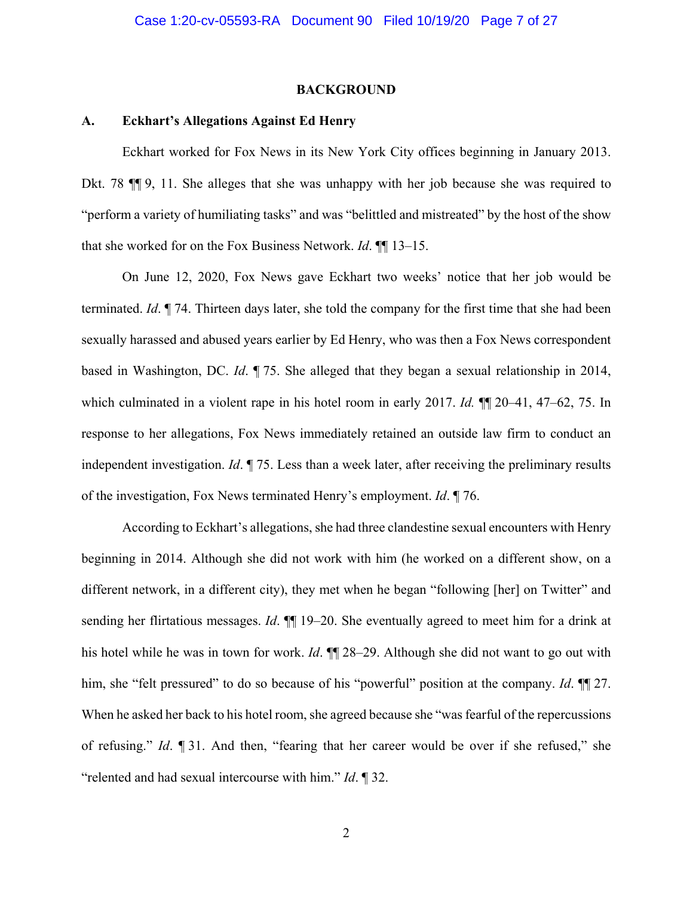#### **BACKGROUND**

#### **A. Eckhart's Allegations Against Ed Henry**

 Eckhart worked for Fox News in its New York City offices beginning in January 2013. Dkt. 78 ¶¶ 9, 11. She alleges that she was unhappy with her job because she was required to "perform a variety of humiliating tasks" and was "belittled and mistreated" by the host of the show that she worked for on the Fox Business Network. *Id*. ¶¶ 13–15.

 On June 12, 2020, Fox News gave Eckhart two weeks' notice that her job would be terminated. *Id*. ¶ 74. Thirteen days later, she told the company for the first time that she had been sexually harassed and abused years earlier by Ed Henry, who was then a Fox News correspondent based in Washington, DC. *Id*. ¶ 75. She alleged that they began a sexual relationship in 2014, which culminated in a violent rape in his hotel room in early 2017. *Id.* ¶¶ 20–41, 47–62, 75. In response to her allegations, Fox News immediately retained an outside law firm to conduct an independent investigation. *Id*. ¶ 75. Less than a week later, after receiving the preliminary results of the investigation, Fox News terminated Henry's employment. *Id*. ¶ 76.

 According to Eckhart's allegations, she had three clandestine sexual encounters with Henry beginning in 2014. Although she did not work with him (he worked on a different show, on a different network, in a different city), they met when he began "following [her] on Twitter" and sending her flirtatious messages. *Id*. ¶¶ 19–20. She eventually agreed to meet him for a drink at his hotel while he was in town for work. *Id*. ¶¶ 28–29. Although she did not want to go out with him, she "felt pressured" to do so because of his "powerful" position at the company. *Id*. ¶¶ 27. When he asked her back to his hotel room, she agreed because she "was fearful of the repercussions of refusing." *Id*. ¶ 31. And then, "fearing that her career would be over if she refused," she "relented and had sexual intercourse with him." *Id*. ¶ 32.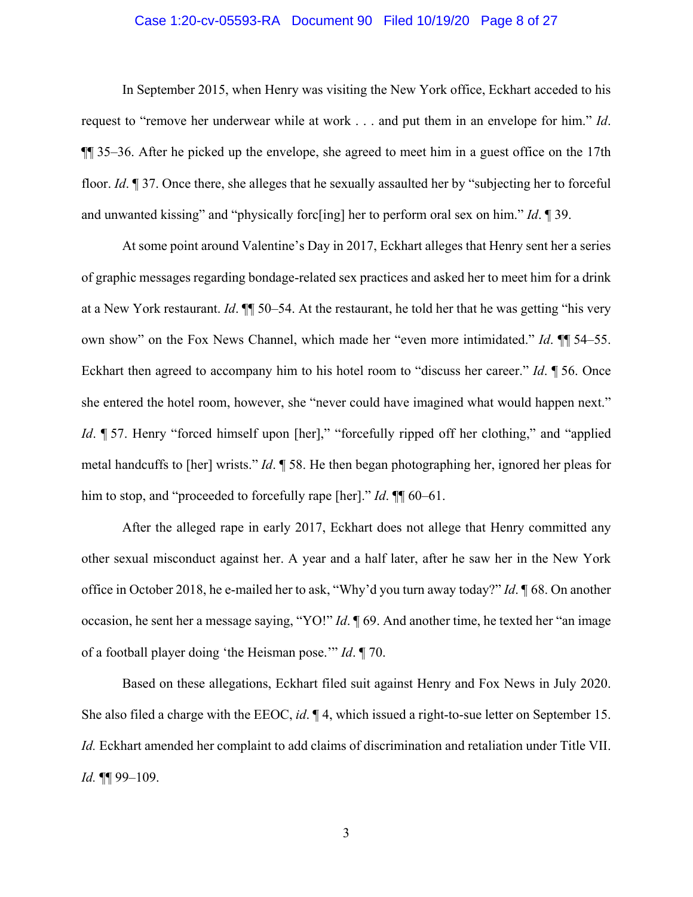## Case 1:20-cv-05593-RA Document 90 Filed 10/19/20 Page 8 of 27

 In September 2015, when Henry was visiting the New York office, Eckhart acceded to his request to "remove her underwear while at work . . . and put them in an envelope for him." *Id*. ¶¶ 35–36. After he picked up the envelope, she agreed to meet him in a guest office on the 17th floor. *Id*. ¶ 37. Once there, she alleges that he sexually assaulted her by "subjecting her to forceful and unwanted kissing" and "physically forc[ing] her to perform oral sex on him." *Id*. ¶ 39.

 At some point around Valentine's Day in 2017, Eckhart alleges that Henry sent her a series of graphic messages regarding bondage-related sex practices and asked her to meet him for a drink at a New York restaurant. *Id*. ¶¶ 50–54. At the restaurant, he told her that he was getting "his very own show" on the Fox News Channel, which made her "even more intimidated." *Id*. ¶¶ 54–55. Eckhart then agreed to accompany him to his hotel room to "discuss her career." *Id*. ¶ 56. Once she entered the hotel room, however, she "never could have imagined what would happen next." *Id*. ¶ 57. Henry "forced himself upon [her]," "forcefully ripped off her clothing," and "applied metal handcuffs to [her] wrists." *Id*. ¶ 58. He then began photographing her, ignored her pleas for him to stop, and "proceeded to forcefully rape [her]." *Id*. ¶¶ 60–61.

 After the alleged rape in early 2017, Eckhart does not allege that Henry committed any other sexual misconduct against her. A year and a half later, after he saw her in the New York office in October 2018, he e-mailed her to ask, "Why'd you turn away today?" *Id*. ¶ 68. On another occasion, he sent her a message saying, "YO!" *Id*. ¶ 69. And another time, he texted her "an image of a football player doing 'the Heisman pose.'" *Id*. ¶ 70.

 Based on these allegations, Eckhart filed suit against Henry and Fox News in July 2020. She also filed a charge with the EEOC, *id*. ¶ 4, which issued a right-to-sue letter on September 15. *Id.* Eckhart amended her complaint to add claims of discrimination and retaliation under Title VII. *Id.* ¶¶ 99–109.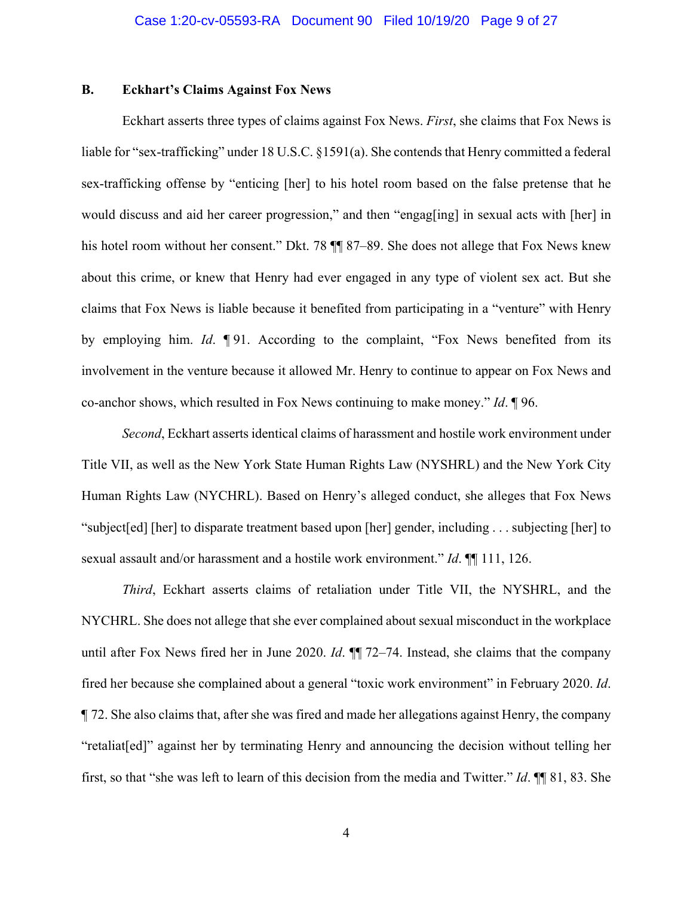## **B. Eckhart's Claims Against Fox News**

 Eckhart asserts three types of claims against Fox News. *First*, she claims that Fox News is liable for "sex-trafficking" under 18 U.S.C. §1591(a). She contends that Henry committed a federal sex-trafficking offense by "enticing [her] to his hotel room based on the false pretense that he would discuss and aid her career progression," and then "engag[ing] in sexual acts with [her] in his hotel room without her consent." Dkt. 78  $\P$  87–89. She does not allege that Fox News knew about this crime, or knew that Henry had ever engaged in any type of violent sex act. But she claims that Fox News is liable because it benefited from participating in a "venture" with Henry by employing him. *Id*. ¶ 91. According to the complaint, "Fox News benefited from its involvement in the venture because it allowed Mr. Henry to continue to appear on Fox News and co-anchor shows, which resulted in Fox News continuing to make money." *Id*. ¶ 96.

*Second*, Eckhart asserts identical claims of harassment and hostile work environment under Title VII, as well as the New York State Human Rights Law (NYSHRL) and the New York City Human Rights Law (NYCHRL). Based on Henry's alleged conduct, she alleges that Fox News "subject[ed] [her] to disparate treatment based upon [her] gender, including . . . subjecting [her] to sexual assault and/or harassment and a hostile work environment." *Id*. ¶¶ 111, 126.

*Third*, Eckhart asserts claims of retaliation under Title VII, the NYSHRL, and the NYCHRL. She does not allege that she ever complained about sexual misconduct in the workplace until after Fox News fired her in June 2020. *Id*. ¶¶ 72–74. Instead, she claims that the company fired her because she complained about a general "toxic work environment" in February 2020. *Id*. ¶ 72. She also claims that, after she was fired and made her allegations against Henry, the company "retaliat[ed]" against her by terminating Henry and announcing the decision without telling her first, so that "she was left to learn of this decision from the media and Twitter." *Id*. ¶¶ 81, 83. She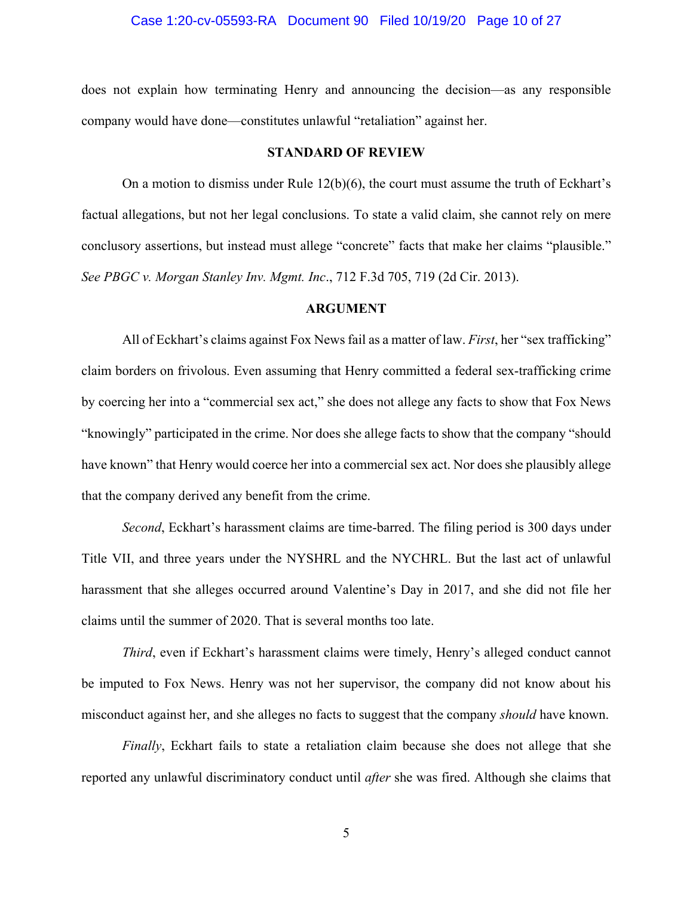## Case 1:20-cv-05593-RA Document 90 Filed 10/19/20 Page 10 of 27

does not explain how terminating Henry and announcing the decision—as any responsible company would have done—constitutes unlawful "retaliation" against her.

#### **STANDARD OF REVIEW**

 On a motion to dismiss under Rule 12(b)(6), the court must assume the truth of Eckhart's factual allegations, but not her legal conclusions. To state a valid claim, she cannot rely on mere conclusory assertions, but instead must allege "concrete" facts that make her claims "plausible." *See PBGC v. Morgan Stanley Inv. Mgmt. Inc*., 712 F.3d 705, 719 (2d Cir. 2013).

## **ARGUMENT**

 All of Eckhart's claims against Fox News fail as a matter of law. *First*, her "sex trafficking" claim borders on frivolous. Even assuming that Henry committed a federal sex-trafficking crime by coercing her into a "commercial sex act," she does not allege any facts to show that Fox News "knowingly" participated in the crime. Nor does she allege facts to show that the company "should have known" that Henry would coerce her into a commercial sex act. Nor does she plausibly allege that the company derived any benefit from the crime.

*Second*, Eckhart's harassment claims are time-barred. The filing period is 300 days under Title VII, and three years under the NYSHRL and the NYCHRL. But the last act of unlawful harassment that she alleges occurred around Valentine's Day in 2017, and she did not file her claims until the summer of 2020. That is several months too late.

*Third*, even if Eckhart's harassment claims were timely, Henry's alleged conduct cannot be imputed to Fox News. Henry was not her supervisor, the company did not know about his misconduct against her, and she alleges no facts to suggest that the company *should* have known.

*Finally*, Eckhart fails to state a retaliation claim because she does not allege that she reported any unlawful discriminatory conduct until *after* she was fired. Although she claims that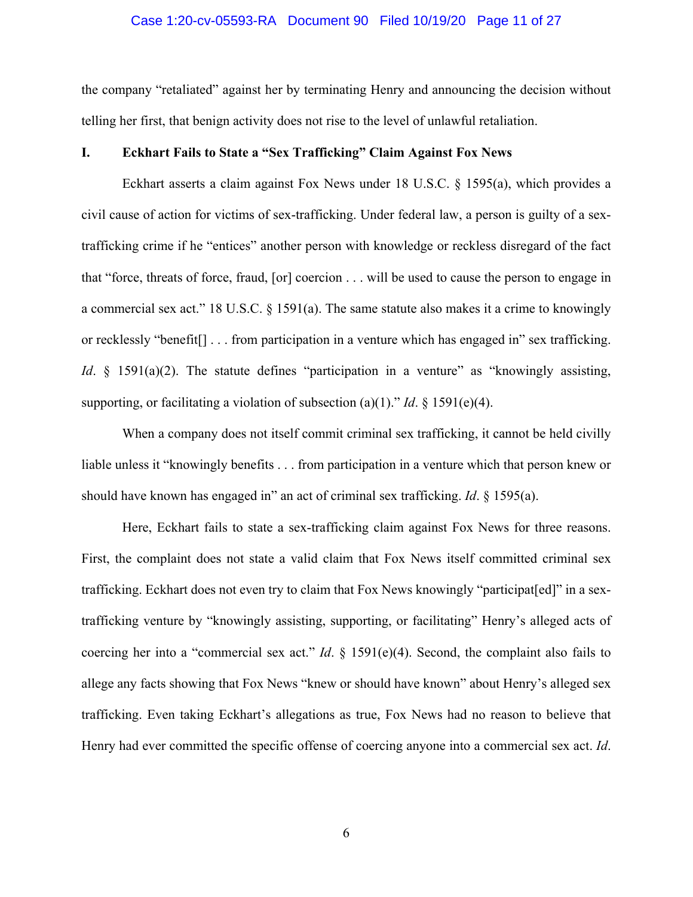## Case 1:20-cv-05593-RA Document 90 Filed 10/19/20 Page 11 of 27

the company "retaliated" against her by terminating Henry and announcing the decision without telling her first, that benign activity does not rise to the level of unlawful retaliation.

## **I. Eckhart Fails to State a "Sex Trafficking" Claim Against Fox News**

 Eckhart asserts a claim against Fox News under 18 U.S.C. § 1595(a), which provides a civil cause of action for victims of sex-trafficking. Under federal law, a person is guilty of a sextrafficking crime if he "entices" another person with knowledge or reckless disregard of the fact that "force, threats of force, fraud, [or] coercion . . . will be used to cause the person to engage in a commercial sex act." 18 U.S.C.  $\S$  1591(a). The same statute also makes it a crime to knowingly or recklessly "benefit[] . . . from participation in a venture which has engaged in" sex trafficking. *Id.* § 1591(a)(2). The statute defines "participation in a venture" as "knowingly assisting, supporting, or facilitating a violation of subsection (a)(1)." *Id.*  $\S$  1591(e)(4).

 When a company does not itself commit criminal sex trafficking, it cannot be held civilly liable unless it "knowingly benefits . . . from participation in a venture which that person knew or should have known has engaged in" an act of criminal sex trafficking. *Id*. § 1595(a).

 Here, Eckhart fails to state a sex-trafficking claim against Fox News for three reasons. First, the complaint does not state a valid claim that Fox News itself committed criminal sex trafficking. Eckhart does not even try to claim that Fox News knowingly "participat[ed]" in a sextrafficking venture by "knowingly assisting, supporting, or facilitating" Henry's alleged acts of coercing her into a "commercial sex act." *Id*. § 1591(e)(4). Second, the complaint also fails to allege any facts showing that Fox News "knew or should have known" about Henry's alleged sex trafficking. Even taking Eckhart's allegations as true, Fox News had no reason to believe that Henry had ever committed the specific offense of coercing anyone into a commercial sex act. *Id*.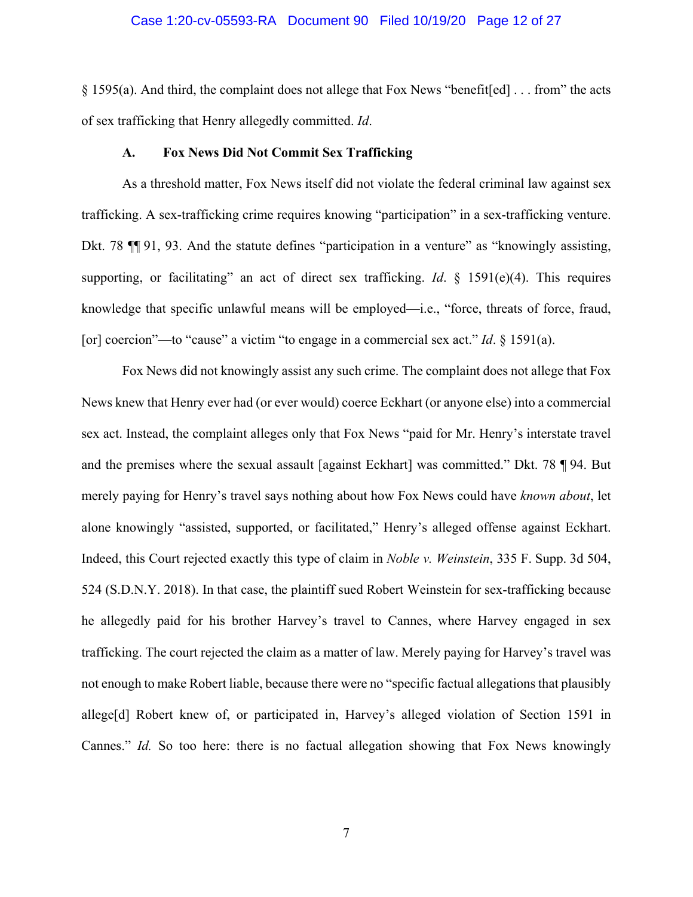## Case 1:20-cv-05593-RA Document 90 Filed 10/19/20 Page 12 of 27

§ 1595(a). And third, the complaint does not allege that Fox News "benefit[ed] . . . from" the acts of sex trafficking that Henry allegedly committed. *Id*.

#### **A. Fox News Did Not Commit Sex Trafficking**

 As a threshold matter, Fox News itself did not violate the federal criminal law against sex trafficking. A sex-trafficking crime requires knowing "participation" in a sex-trafficking venture. Dkt. 78  $\P$  91, 93. And the statute defines "participation in a venture" as "knowingly assisting, supporting, or facilitating" an act of direct sex trafficking. *Id*. § 1591(e)(4). This requires knowledge that specific unlawful means will be employed—i.e., "force, threats of force, fraud, [or] coercion"—to "cause" a victim "to engage in a commercial sex act." *Id*. § 1591(a).

 Fox News did not knowingly assist any such crime. The complaint does not allege that Fox News knew that Henry ever had (or ever would) coerce Eckhart (or anyone else) into a commercial sex act. Instead, the complaint alleges only that Fox News "paid for Mr. Henry's interstate travel and the premises where the sexual assault [against Eckhart] was committed." Dkt. 78 ¶ 94. But merely paying for Henry's travel says nothing about how Fox News could have *known about*, let alone knowingly "assisted, supported, or facilitated," Henry's alleged offense against Eckhart. Indeed, this Court rejected exactly this type of claim in *Noble v. Weinstein*, 335 F. Supp. 3d 504, 524 (S.D.N.Y. 2018). In that case, the plaintiff sued Robert Weinstein for sex-trafficking because he allegedly paid for his brother Harvey's travel to Cannes, where Harvey engaged in sex trafficking. The court rejected the claim as a matter of law. Merely paying for Harvey's travel was not enough to make Robert liable, because there were no "specific factual allegations that plausibly allege[d] Robert knew of, or participated in, Harvey's alleged violation of Section 1591 in Cannes." *Id.* So too here: there is no factual allegation showing that Fox News knowingly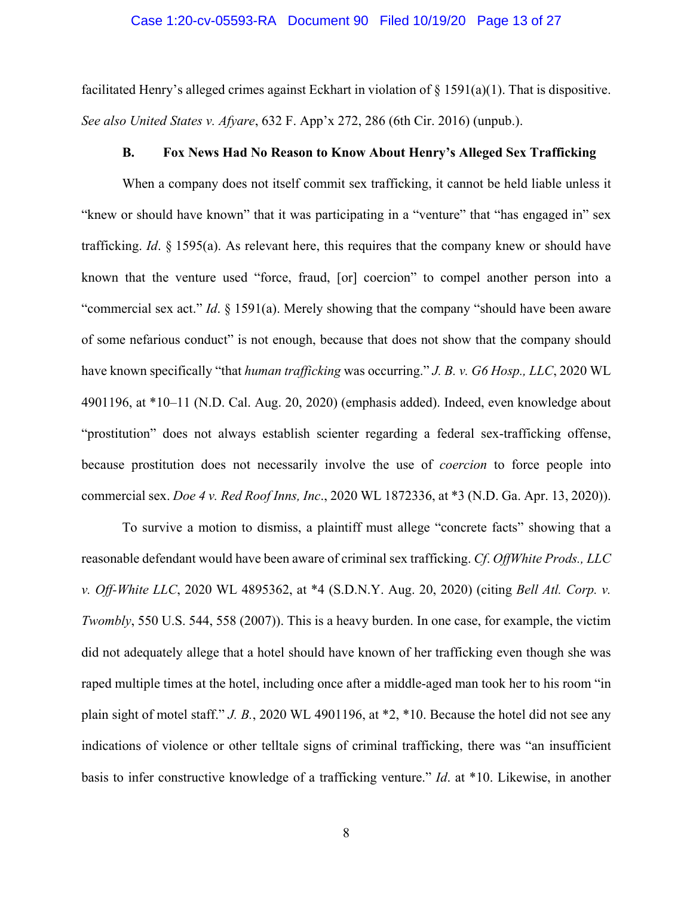## Case 1:20-cv-05593-RA Document 90 Filed 10/19/20 Page 13 of 27

facilitated Henry's alleged crimes against Eckhart in violation of  $\S$  1591(a)(1). That is dispositive. *See also United States v. Afyare*, 632 F. App'x 272, 286 (6th Cir. 2016) (unpub.).

#### **B. Fox News Had No Reason to Know About Henry's Alleged Sex Trafficking**

 When a company does not itself commit sex trafficking, it cannot be held liable unless it "knew or should have known" that it was participating in a "venture" that "has engaged in" sex trafficking. *Id*. § 1595(a). As relevant here, this requires that the company knew or should have known that the venture used "force, fraud, [or] coercion" to compel another person into a "commercial sex act." *Id*. § 1591(a). Merely showing that the company "should have been aware of some nefarious conduct" is not enough, because that does not show that the company should have known specifically "that *human trafficking* was occurring." *J. B. v. G6 Hosp., LLC*, 2020 WL 4901196, at \*10–11 (N.D. Cal. Aug. 20, 2020) (emphasis added). Indeed, even knowledge about "prostitution" does not always establish scienter regarding a federal sex-trafficking offense, because prostitution does not necessarily involve the use of *coercion* to force people into commercial sex. *Doe 4 v. Red Roof Inns, Inc*., 2020 WL 1872336, at \*3 (N.D. Ga. Apr. 13, 2020)).

 To survive a motion to dismiss, a plaintiff must allege "concrete facts" showing that a reasonable defendant would have been aware of criminal sex trafficking. *Cf*. *OffWhite Prods., LLC v. Off-White LLC*, 2020 WL 4895362, at \*4 (S.D.N.Y. Aug. 20, 2020) (citing *Bell Atl. Corp. v. Twombly*, 550 U.S. 544, 558 (2007)). This is a heavy burden. In one case, for example, the victim did not adequately allege that a hotel should have known of her trafficking even though she was raped multiple times at the hotel, including once after a middle-aged man took her to his room "in plain sight of motel staff." *J. B.*, 2020 WL 4901196, at \*2, \*10. Because the hotel did not see any indications of violence or other telltale signs of criminal trafficking, there was "an insufficient basis to infer constructive knowledge of a trafficking venture." *Id*. at \*10. Likewise, in another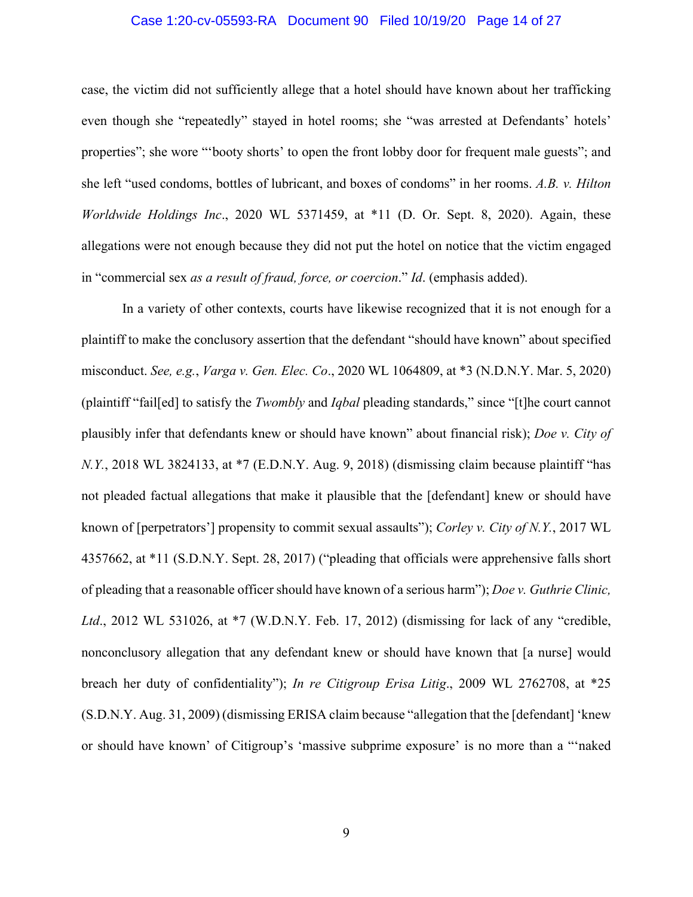## Case 1:20-cv-05593-RA Document 90 Filed 10/19/20 Page 14 of 27

case, the victim did not sufficiently allege that a hotel should have known about her trafficking even though she "repeatedly" stayed in hotel rooms; she "was arrested at Defendants' hotels' properties"; she wore "'booty shorts' to open the front lobby door for frequent male guests"; and she left "used condoms, bottles of lubricant, and boxes of condoms" in her rooms. *A.B. v. Hilton Worldwide Holdings Inc*., 2020 WL 5371459, at \*11 (D. Or. Sept. 8, 2020). Again, these allegations were not enough because they did not put the hotel on notice that the victim engaged in "commercial sex *as a result of fraud, force, or coercion*." *Id*. (emphasis added).

 In a variety of other contexts, courts have likewise recognized that it is not enough for a plaintiff to make the conclusory assertion that the defendant "should have known" about specified misconduct. *See, e.g.*, *Varga v. Gen. Elec. Co*., 2020 WL 1064809, at \*3 (N.D.N.Y. Mar. 5, 2020) (plaintiff "fail[ed] to satisfy the *Twombly* and *Iqbal* pleading standards," since "[t]he court cannot plausibly infer that defendants knew or should have known" about financial risk); *Doe v. City of N.Y.*, 2018 WL 3824133, at \*7 (E.D.N.Y. Aug. 9, 2018) (dismissing claim because plaintiff "has not pleaded factual allegations that make it plausible that the [defendant] knew or should have known of [perpetrators'] propensity to commit sexual assaults"); *Corley v. City of N.Y.*, 2017 WL 4357662, at \*11 (S.D.N.Y. Sept. 28, 2017) ("pleading that officials were apprehensive falls short of pleading that a reasonable officer should have known of a serious harm"); *Doe v. Guthrie Clinic, Ltd*., 2012 WL 531026, at \*7 (W.D.N.Y. Feb. 17, 2012) (dismissing for lack of any "credible, nonconclusory allegation that any defendant knew or should have known that [a nurse] would breach her duty of confidentiality"); *In re Citigroup Erisa Litig*., 2009 WL 2762708, at \*25 (S.D.N.Y. Aug. 31, 2009) (dismissing ERISA claim because "allegation that the [defendant] 'knew or should have known' of Citigroup's 'massive subprime exposure' is no more than a "'naked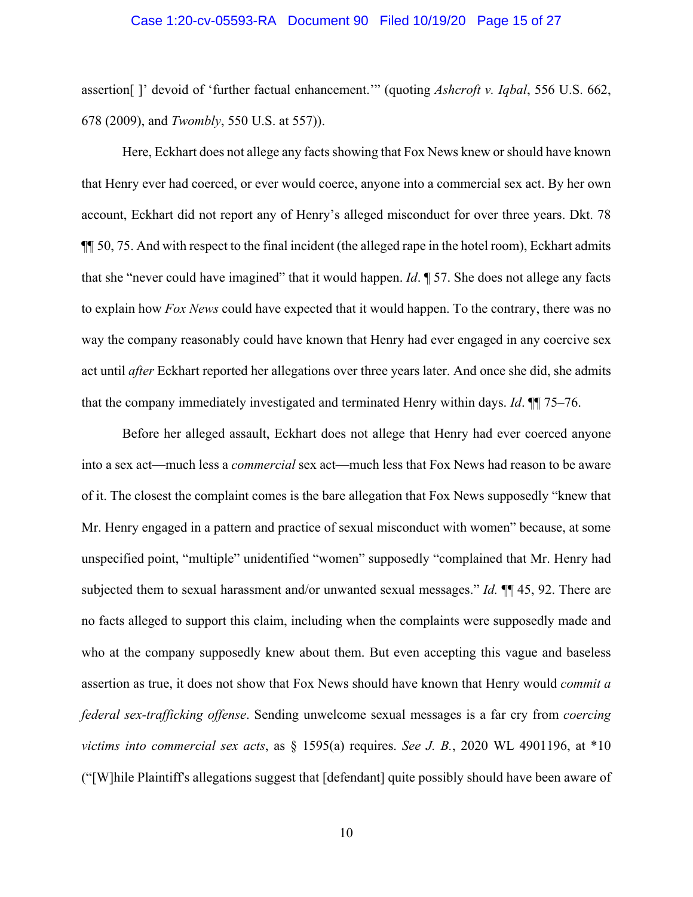## Case 1:20-cv-05593-RA Document 90 Filed 10/19/20 Page 15 of 27

assertion[ ]' devoid of 'further factual enhancement.'" (quoting *Ashcroft v. Iqbal*, 556 U.S. 662, 678 (2009), and *Twombly*, 550 U.S. at 557)).

 Here, Eckhart does not allege any facts showing that Fox News knew or should have known that Henry ever had coerced, or ever would coerce, anyone into a commercial sex act. By her own account, Eckhart did not report any of Henry's alleged misconduct for over three years. Dkt. 78 ¶¶ 50, 75. And with respect to the final incident (the alleged rape in the hotel room), Eckhart admits that she "never could have imagined" that it would happen. *Id*. ¶ 57. She does not allege any facts to explain how *Fox News* could have expected that it would happen. To the contrary, there was no way the company reasonably could have known that Henry had ever engaged in any coercive sex act until *after* Eckhart reported her allegations over three years later. And once she did, she admits that the company immediately investigated and terminated Henry within days. *Id*. ¶¶ 75–76.

 Before her alleged assault, Eckhart does not allege that Henry had ever coerced anyone into a sex act—much less a *commercial* sex act—much less that Fox News had reason to be aware of it. The closest the complaint comes is the bare allegation that Fox News supposedly "knew that Mr. Henry engaged in a pattern and practice of sexual misconduct with women" because, at some unspecified point, "multiple" unidentified "women" supposedly "complained that Mr. Henry had subjected them to sexual harassment and/or unwanted sexual messages." *Id.* ¶¶ 45, 92. There are no facts alleged to support this claim, including when the complaints were supposedly made and who at the company supposedly knew about them. But even accepting this vague and baseless assertion as true, it does not show that Fox News should have known that Henry would *commit a federal sex-trafficking offense*. Sending unwelcome sexual messages is a far cry from *coercing victims into commercial sex acts*, as § 1595(a) requires. *See J. B.*, 2020 WL 4901196, at \*10 ("[W]hile Plaintiff's allegations suggest that [defendant] quite possibly should have been aware of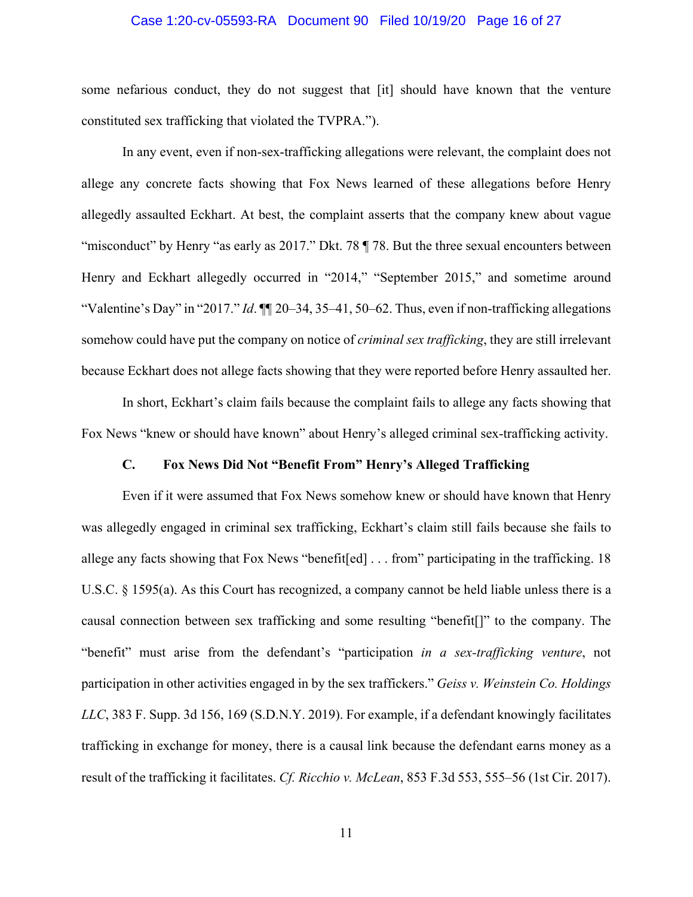## Case 1:20-cv-05593-RA Document 90 Filed 10/19/20 Page 16 of 27

some nefarious conduct, they do not suggest that [it] should have known that the venture constituted sex trafficking that violated the TVPRA.").

 In any event, even if non-sex-trafficking allegations were relevant, the complaint does not allege any concrete facts showing that Fox News learned of these allegations before Henry allegedly assaulted Eckhart. At best, the complaint asserts that the company knew about vague "misconduct" by Henry "as early as 2017." Dkt. 78 ¶ 78. But the three sexual encounters between Henry and Eckhart allegedly occurred in "2014," "September 2015," and sometime around "Valentine's Day" in "2017." *Id*. ¶¶ 20–34, 35–41, 50–62. Thus, even if non-trafficking allegations somehow could have put the company on notice of *criminal sex trafficking*, they are still irrelevant because Eckhart does not allege facts showing that they were reported before Henry assaulted her.

 In short, Eckhart's claim fails because the complaint fails to allege any facts showing that Fox News "knew or should have known" about Henry's alleged criminal sex-trafficking activity.

## **C. Fox News Did Not "Benefit From" Henry's Alleged Trafficking**

 Even if it were assumed that Fox News somehow knew or should have known that Henry was allegedly engaged in criminal sex trafficking, Eckhart's claim still fails because she fails to allege any facts showing that Fox News "benefit[ed] . . . from" participating in the trafficking. 18 U.S.C. § 1595(a). As this Court has recognized, a company cannot be held liable unless there is a causal connection between sex trafficking and some resulting "benefit[]" to the company. The "benefit" must arise from the defendant's "participation *in a sex-trafficking venture*, not participation in other activities engaged in by the sex traffickers." *Geiss v. Weinstein Co. Holdings LLC*, 383 F. Supp. 3d 156, 169 (S.D.N.Y. 2019). For example, if a defendant knowingly facilitates trafficking in exchange for money, there is a causal link because the defendant earns money as a result of the trafficking it facilitates. *Cf. Ricchio v. McLean*, 853 F.3d 553, 555–56 (1st Cir. 2017).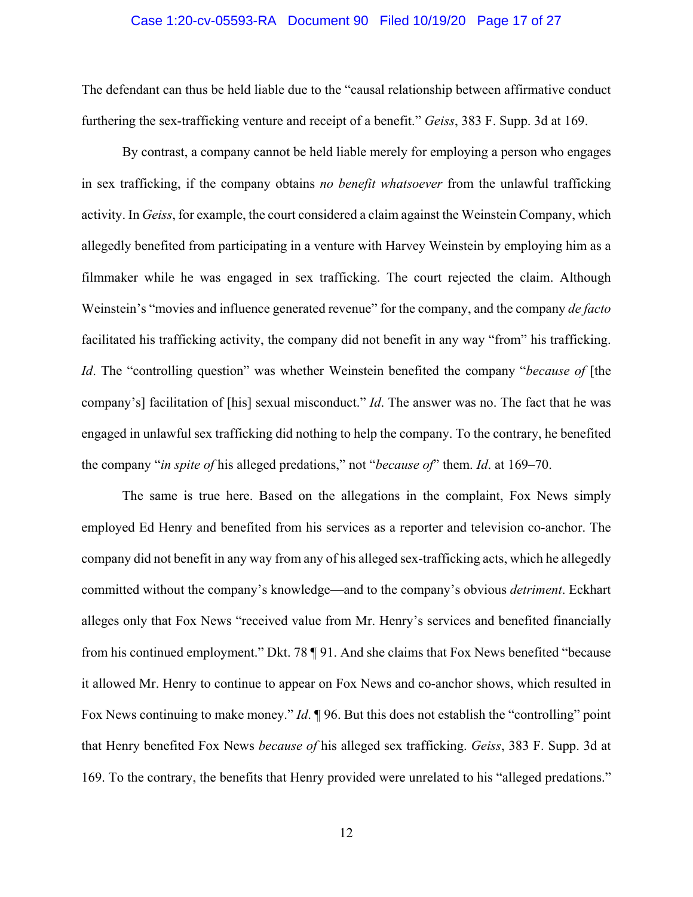## Case 1:20-cv-05593-RA Document 90 Filed 10/19/20 Page 17 of 27

The defendant can thus be held liable due to the "causal relationship between affirmative conduct furthering the sex-trafficking venture and receipt of a benefit." *Geiss*, 383 F. Supp. 3d at 169.

 By contrast, a company cannot be held liable merely for employing a person who engages in sex trafficking, if the company obtains *no benefit whatsoever* from the unlawful trafficking activity. In *Geiss*, for example, the court considered a claim against the Weinstein Company, which allegedly benefited from participating in a venture with Harvey Weinstein by employing him as a filmmaker while he was engaged in sex trafficking. The court rejected the claim. Although Weinstein's "movies and influence generated revenue" for the company, and the company *de facto* facilitated his trafficking activity, the company did not benefit in any way "from" his trafficking. *Id*. The "controlling question" was whether Weinstein benefited the company "*because of* [the company's] facilitation of [his] sexual misconduct." *Id*. The answer was no. The fact that he was engaged in unlawful sex trafficking did nothing to help the company. To the contrary, he benefited the company "*in spite of* his alleged predations," not "*because of*" them. *Id*. at 169–70.

 The same is true here. Based on the allegations in the complaint, Fox News simply employed Ed Henry and benefited from his services as a reporter and television co-anchor. The company did not benefit in any way from any of his alleged sex-trafficking acts, which he allegedly committed without the company's knowledge—and to the company's obvious *detriment*. Eckhart alleges only that Fox News "received value from Mr. Henry's services and benefited financially from his continued employment." Dkt. 78 ¶ 91. And she claims that Fox News benefited "because it allowed Mr. Henry to continue to appear on Fox News and co-anchor shows, which resulted in Fox News continuing to make money." *Id*. ¶ 96. But this does not establish the "controlling" point that Henry benefited Fox News *because of* his alleged sex trafficking. *Geiss*, 383 F. Supp. 3d at 169. To the contrary, the benefits that Henry provided were unrelated to his "alleged predations."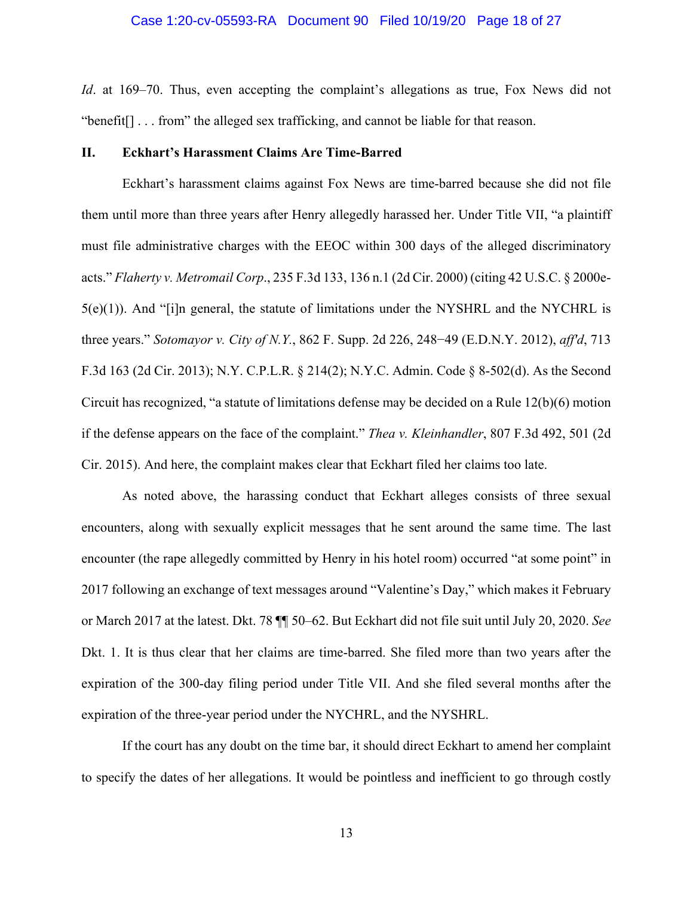## Case 1:20-cv-05593-RA Document 90 Filed 10/19/20 Page 18 of 27

*Id.* at 169–70. Thus, even accepting the complaint's allegations as true, Fox News did not "benefit[] . . . from" the alleged sex trafficking, and cannot be liable for that reason.

#### **II. Eckhart's Harassment Claims Are Time-Barred**

 Eckhart's harassment claims against Fox News are time-barred because she did not file them until more than three years after Henry allegedly harassed her. Under Title VII, "a plaintiff must file administrative charges with the EEOC within 300 days of the alleged discriminatory acts." *Flaherty v. Metromail Corp*., 235 F.3d 133, 136 n.1 (2d Cir. 2000) (citing 42 U.S.C. § 2000e- $5(e)(1)$ ). And "[i]n general, the statute of limitations under the NYSHRL and the NYCHRL is three years." *Sotomayor v. City of N.Y.*, 862 F. Supp. 2d 226, 248−49 (E.D.N.Y. 2012), *aff'd*, 713 F.3d 163 (2d Cir. 2013); N.Y. C.P.L.R. § 214(2); N.Y.C. Admin. Code § 8-502(d). As the Second Circuit has recognized, "a statute of limitations defense may be decided on a Rule 12(b)(6) motion if the defense appears on the face of the complaint." *Thea v. Kleinhandler*, 807 F.3d 492, 501 (2d Cir. 2015). And here, the complaint makes clear that Eckhart filed her claims too late.

 As noted above, the harassing conduct that Eckhart alleges consists of three sexual encounters, along with sexually explicit messages that he sent around the same time. The last encounter (the rape allegedly committed by Henry in his hotel room) occurred "at some point" in 2017 following an exchange of text messages around "Valentine's Day," which makes it February or March 2017 at the latest. Dkt. 78 ¶¶ 50–62. But Eckhart did not file suit until July 20, 2020. *See* Dkt. 1. It is thus clear that her claims are time-barred. She filed more than two years after the expiration of the 300-day filing period under Title VII. And she filed several months after the expiration of the three-year period under the NYCHRL, and the NYSHRL.

 If the court has any doubt on the time bar, it should direct Eckhart to amend her complaint to specify the dates of her allegations. It would be pointless and inefficient to go through costly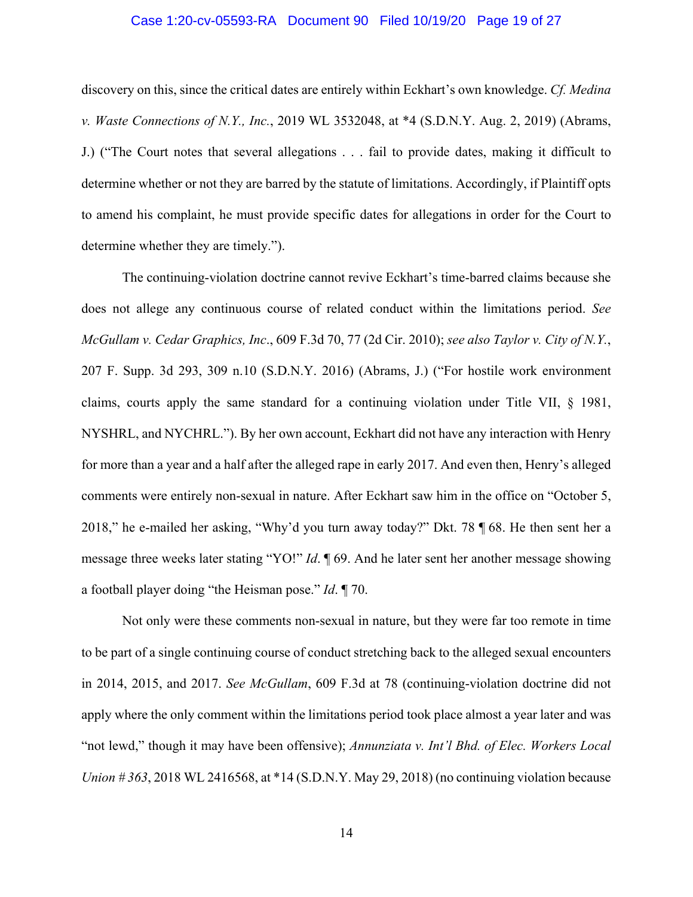## Case 1:20-cv-05593-RA Document 90 Filed 10/19/20 Page 19 of 27

discovery on this, since the critical dates are entirely within Eckhart's own knowledge. *Cf. Medina v. Waste Connections of N.Y., Inc.*, 2019 WL 3532048, at \*4 (S.D.N.Y. Aug. 2, 2019) (Abrams, J.) ("The Court notes that several allegations . . . fail to provide dates, making it difficult to determine whether or not they are barred by the statute of limitations. Accordingly, if Plaintiff opts to amend his complaint, he must provide specific dates for allegations in order for the Court to determine whether they are timely.").

 The continuing-violation doctrine cannot revive Eckhart's time-barred claims because she does not allege any continuous course of related conduct within the limitations period. *See McGullam v. Cedar Graphics, Inc*., 609 F.3d 70, 77 (2d Cir. 2010); *see also Taylor v. City of N.Y.*, 207 F. Supp. 3d 293, 309 n.10 (S.D.N.Y. 2016) (Abrams, J.) ("For hostile work environment claims, courts apply the same standard for a continuing violation under Title VII, § 1981, NYSHRL, and NYCHRL."). By her own account, Eckhart did not have any interaction with Henry for more than a year and a half after the alleged rape in early 2017. And even then, Henry's alleged comments were entirely non-sexual in nature. After Eckhart saw him in the office on "October 5, 2018," he e-mailed her asking, "Why'd you turn away today?" Dkt. 78 ¶ 68. He then sent her a message three weeks later stating "YO!" *Id*. ¶ 69. And he later sent her another message showing a football player doing "the Heisman pose." *Id*. ¶ 70.

 Not only were these comments non-sexual in nature, but they were far too remote in time to be part of a single continuing course of conduct stretching back to the alleged sexual encounters in 2014, 2015, and 2017. *See McGullam*, 609 F.3d at 78 (continuing-violation doctrine did not apply where the only comment within the limitations period took place almost a year later and was "not lewd," though it may have been offensive); *Annunziata v. Int'l Bhd. of Elec. Workers Local Union # 363*, 2018 WL 2416568, at \*14 (S.D.N.Y. May 29, 2018) (no continuing violation because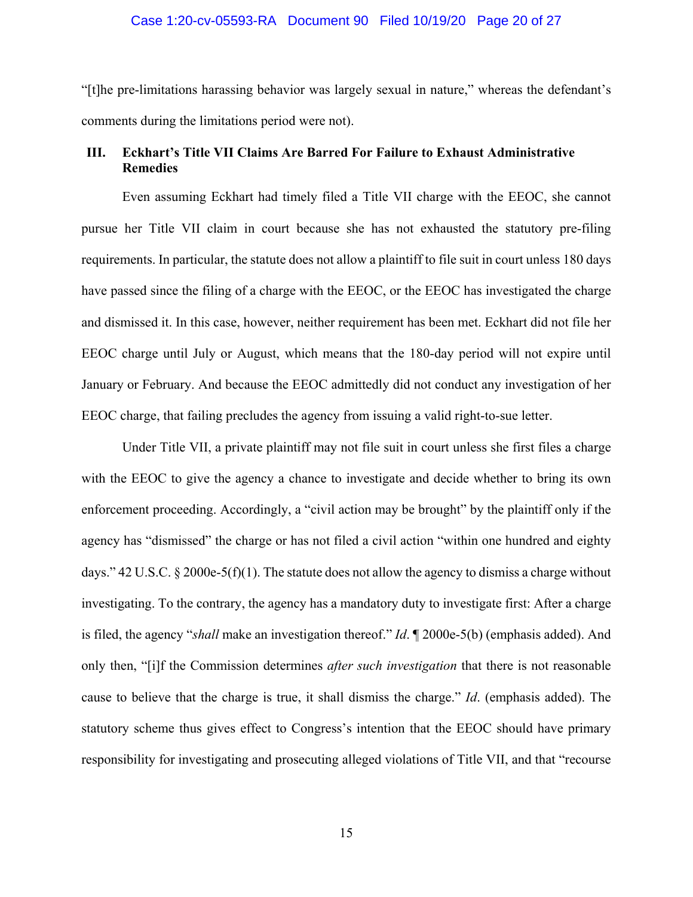## Case 1:20-cv-05593-RA Document 90 Filed 10/19/20 Page 20 of 27

"[t]he pre-limitations harassing behavior was largely sexual in nature," whereas the defendant's comments during the limitations period were not).

## **III. Eckhart's Title VII Claims Are Barred For Failure to Exhaust Administrative Remedies**

Even assuming Eckhart had timely filed a Title VII charge with the EEOC, she cannot pursue her Title VII claim in court because she has not exhausted the statutory pre-filing requirements. In particular, the statute does not allow a plaintiff to file suit in court unless 180 days have passed since the filing of a charge with the EEOC, or the EEOC has investigated the charge and dismissed it. In this case, however, neither requirement has been met. Eckhart did not file her EEOC charge until July or August, which means that the 180-day period will not expire until January or February. And because the EEOC admittedly did not conduct any investigation of her EEOC charge, that failing precludes the agency from issuing a valid right-to-sue letter.

Under Title VII, a private plaintiff may not file suit in court unless she first files a charge with the EEOC to give the agency a chance to investigate and decide whether to bring its own enforcement proceeding. Accordingly, a "civil action may be brought" by the plaintiff only if the agency has "dismissed" the charge or has not filed a civil action "within one hundred and eighty days." 42 U.S.C. § 2000e-5(f)(1). The statute does not allow the agency to dismiss a charge without investigating. To the contrary, the agency has a mandatory duty to investigate first: After a charge is filed, the agency "*shall* make an investigation thereof." *Id*. ¶ 2000e-5(b) (emphasis added). And only then, "[i]f the Commission determines *after such investigation* that there is not reasonable cause to believe that the charge is true, it shall dismiss the charge." *Id*. (emphasis added). The statutory scheme thus gives effect to Congress's intention that the EEOC should have primary responsibility for investigating and prosecuting alleged violations of Title VII, and that "recourse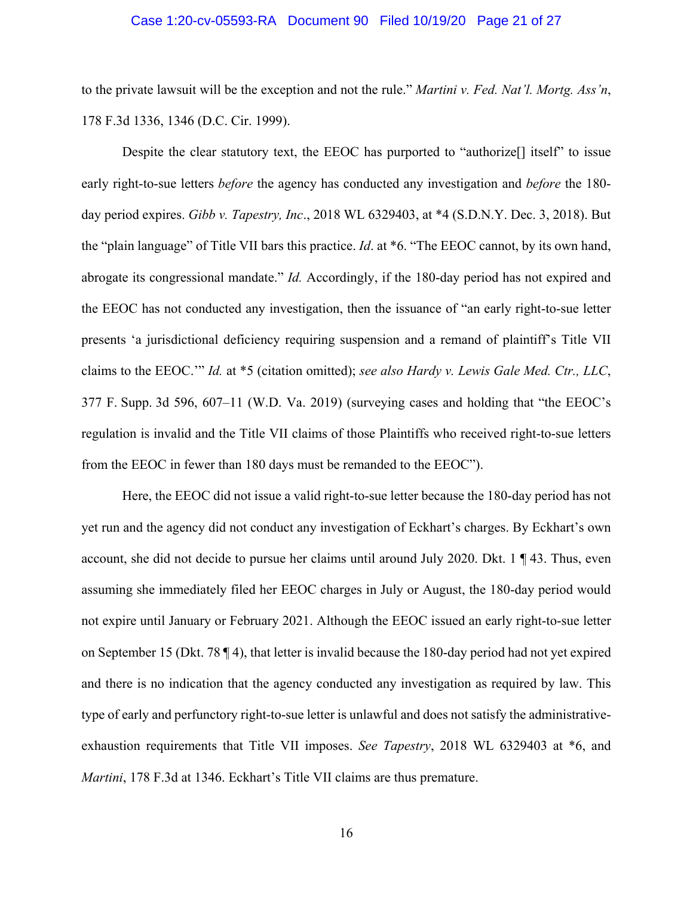## Case 1:20-cv-05593-RA Document 90 Filed 10/19/20 Page 21 of 27

to the private lawsuit will be the exception and not the rule." *Martini v. Fed. Nat'l. Mortg. Ass'n*, 178 F.3d 1336, 1346 (D.C. Cir. 1999).

Despite the clear statutory text, the EEOC has purported to "authorize[] itself" to issue early right-to-sue letters *before* the agency has conducted any investigation and *before* the 180 day period expires. *Gibb v. Tapestry, Inc*., 2018 WL 6329403, at \*4 (S.D.N.Y. Dec. 3, 2018). But the "plain language" of Title VII bars this practice. *Id*. at \*6. "The EEOC cannot, by its own hand, abrogate its congressional mandate." *Id.* Accordingly, if the 180-day period has not expired and the EEOC has not conducted any investigation, then the issuance of "an early right-to-sue letter presents 'a jurisdictional deficiency requiring suspension and a remand of plaintiff's Title VII claims to the EEOC.'" *Id.* at \*5 (citation omitted); *see also Hardy v. Lewis Gale Med. Ctr., LLC*, 377 F. Supp. 3d 596, 607–11 (W.D. Va. 2019) (surveying cases and holding that "the EEOC's regulation is invalid and the Title VII claims of those Plaintiffs who received right-to-sue letters from the EEOC in fewer than 180 days must be remanded to the EEOC").

Here, the EEOC did not issue a valid right-to-sue letter because the 180-day period has not yet run and the agency did not conduct any investigation of Eckhart's charges. By Eckhart's own account, she did not decide to pursue her claims until around July 2020. Dkt. 1 ¶ 43. Thus, even assuming she immediately filed her EEOC charges in July or August, the 180-day period would not expire until January or February 2021. Although the EEOC issued an early right-to-sue letter on September 15 (Dkt. 78 ¶ 4), that letter is invalid because the 180-day period had not yet expired and there is no indication that the agency conducted any investigation as required by law. This type of early and perfunctory right-to-sue letter is unlawful and does not satisfy the administrativeexhaustion requirements that Title VII imposes. *See Tapestry*, 2018 WL 6329403 at \*6, and *Martini*, 178 F.3d at 1346. Eckhart's Title VII claims are thus premature.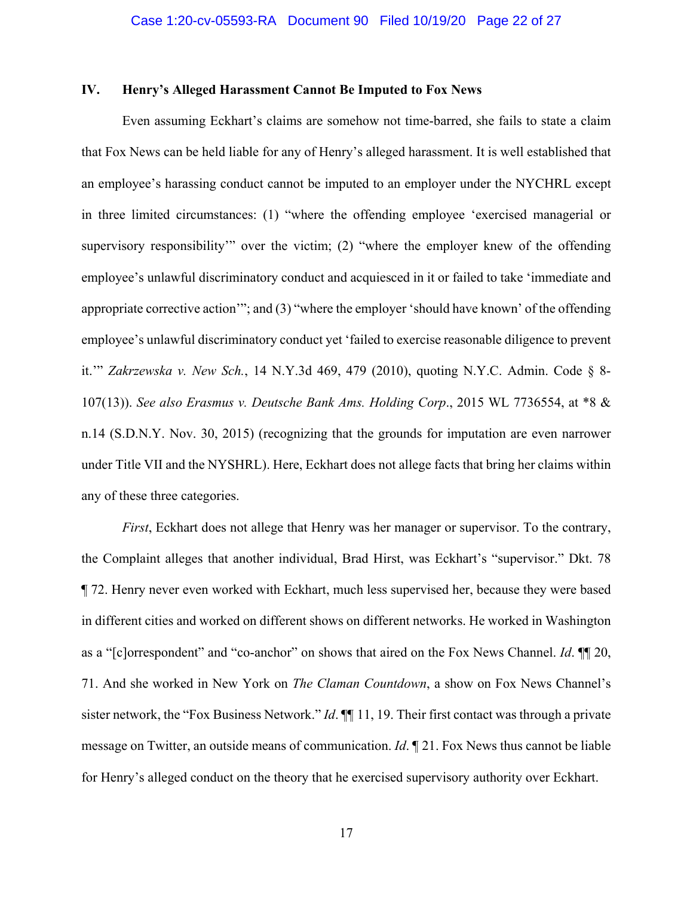## **IV. Henry's Alleged Harassment Cannot Be Imputed to Fox News**

 Even assuming Eckhart's claims are somehow not time-barred, she fails to state a claim that Fox News can be held liable for any of Henry's alleged harassment. It is well established that an employee's harassing conduct cannot be imputed to an employer under the NYCHRL except in three limited circumstances: (1) "where the offending employee 'exercised managerial or supervisory responsibility'" over the victim; (2) "where the employer knew of the offending employee's unlawful discriminatory conduct and acquiesced in it or failed to take 'immediate and appropriate corrective action'"; and (3) "where the employer 'should have known' of the offending employee's unlawful discriminatory conduct yet 'failed to exercise reasonable diligence to prevent it.'" *Zakrzewska v. New Sch.*, 14 N.Y.3d 469, 479 (2010), quoting N.Y.C. Admin. Code § 8- 107(13)). *See also Erasmus v. Deutsche Bank Ams. Holding Corp*., 2015 WL 7736554, at \*8 & n.14 (S.D.N.Y. Nov. 30, 2015) (recognizing that the grounds for imputation are even narrower under Title VII and the NYSHRL). Here, Eckhart does not allege facts that bring her claims within any of these three categories.

*First*, Eckhart does not allege that Henry was her manager or supervisor. To the contrary, the Complaint alleges that another individual, Brad Hirst, was Eckhart's "supervisor." Dkt. 78 ¶ 72. Henry never even worked with Eckhart, much less supervised her, because they were based in different cities and worked on different shows on different networks. He worked in Washington as a "[c]orrespondent" and "co-anchor" on shows that aired on the Fox News Channel. *Id*. ¶¶ 20, 71. And she worked in New York on *The Claman Countdown*, a show on Fox News Channel's sister network, the "Fox Business Network." *Id*. ¶¶ 11, 19. Their first contact was through a private message on Twitter, an outside means of communication. *Id*. ¶ 21. Fox News thus cannot be liable for Henry's alleged conduct on the theory that he exercised supervisory authority over Eckhart.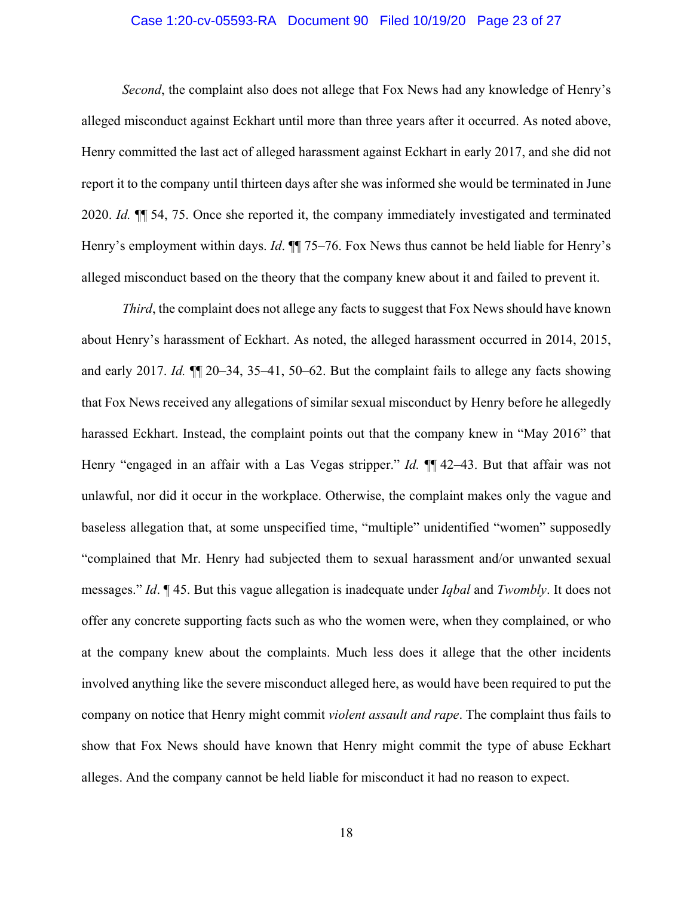## Case 1:20-cv-05593-RA Document 90 Filed 10/19/20 Page 23 of 27

*Second*, the complaint also does not allege that Fox News had any knowledge of Henry's alleged misconduct against Eckhart until more than three years after it occurred. As noted above, Henry committed the last act of alleged harassment against Eckhart in early 2017, and she did not report it to the company until thirteen days after she was informed she would be terminated in June 2020. *Id.* ¶¶ 54, 75. Once she reported it, the company immediately investigated and terminated Henry's employment within days. *Id*. **[1]** 75–76. Fox News thus cannot be held liable for Henry's alleged misconduct based on the theory that the company knew about it and failed to prevent it.

*Third*, the complaint does not allege any facts to suggest that Fox News should have known about Henry's harassment of Eckhart. As noted, the alleged harassment occurred in 2014, 2015, and early 2017. *Id.* ¶¶ 20–34, 35–41, 50–62. But the complaint fails to allege any facts showing that Fox News received any allegations of similar sexual misconduct by Henry before he allegedly harassed Eckhart. Instead, the complaint points out that the company knew in "May 2016" that Henry "engaged in an affair with a Las Vegas stripper." *Id.* ¶¶ 42–43. But that affair was not unlawful, nor did it occur in the workplace. Otherwise, the complaint makes only the vague and baseless allegation that, at some unspecified time, "multiple" unidentified "women" supposedly "complained that Mr. Henry had subjected them to sexual harassment and/or unwanted sexual messages." *Id*. ¶ 45. But this vague allegation is inadequate under *Iqbal* and *Twombly*. It does not offer any concrete supporting facts such as who the women were, when they complained, or who at the company knew about the complaints. Much less does it allege that the other incidents involved anything like the severe misconduct alleged here, as would have been required to put the company on notice that Henry might commit *violent assault and rape*. The complaint thus fails to show that Fox News should have known that Henry might commit the type of abuse Eckhart alleges. And the company cannot be held liable for misconduct it had no reason to expect.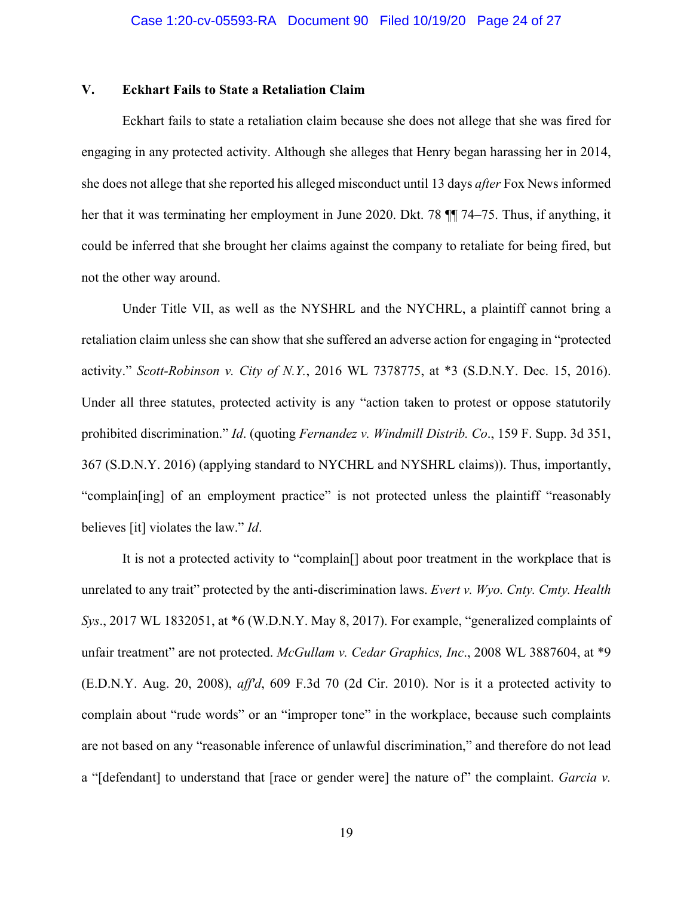## **V. Eckhart Fails to State a Retaliation Claim**

 Eckhart fails to state a retaliation claim because she does not allege that she was fired for engaging in any protected activity. Although she alleges that Henry began harassing her in 2014, she does not allege that she reported his alleged misconduct until 13 days *after* Fox News informed her that it was terminating her employment in June 2020. Dkt. 78 ¶¶ 74–75. Thus, if anything, it could be inferred that she brought her claims against the company to retaliate for being fired, but not the other way around.

 Under Title VII, as well as the NYSHRL and the NYCHRL, a plaintiff cannot bring a retaliation claim unless she can show that she suffered an adverse action for engaging in "protected activity." *Scott-Robinson v. City of N.Y.*, 2016 WL 7378775, at \*3 (S.D.N.Y. Dec. 15, 2016). Under all three statutes, protected activity is any "action taken to protest or oppose statutorily prohibited discrimination." *Id*. (quoting *Fernandez v. Windmill Distrib. Co*., 159 F. Supp. 3d 351, 367 (S.D.N.Y. 2016) (applying standard to NYCHRL and NYSHRL claims)). Thus, importantly, "complain[ing] of an employment practice" is not protected unless the plaintiff "reasonably believes [it] violates the law." *Id*.

 It is not a protected activity to "complain[] about poor treatment in the workplace that is unrelated to any trait" protected by the anti-discrimination laws. *Evert v. Wyo. Cnty. Cmty. Health Sys*., 2017 WL 1832051, at \*6 (W.D.N.Y. May 8, 2017). For example, "generalized complaints of unfair treatment" are not protected. *McGullam v. Cedar Graphics, Inc*., 2008 WL 3887604, at \*9 (E.D.N.Y. Aug. 20, 2008), *aff'd*, 609 F.3d 70 (2d Cir. 2010). Nor is it a protected activity to complain about "rude words" or an "improper tone" in the workplace, because such complaints are not based on any "reasonable inference of unlawful discrimination," and therefore do not lead a "[defendant] to understand that [race or gender were] the nature of" the complaint. *Garcia v.*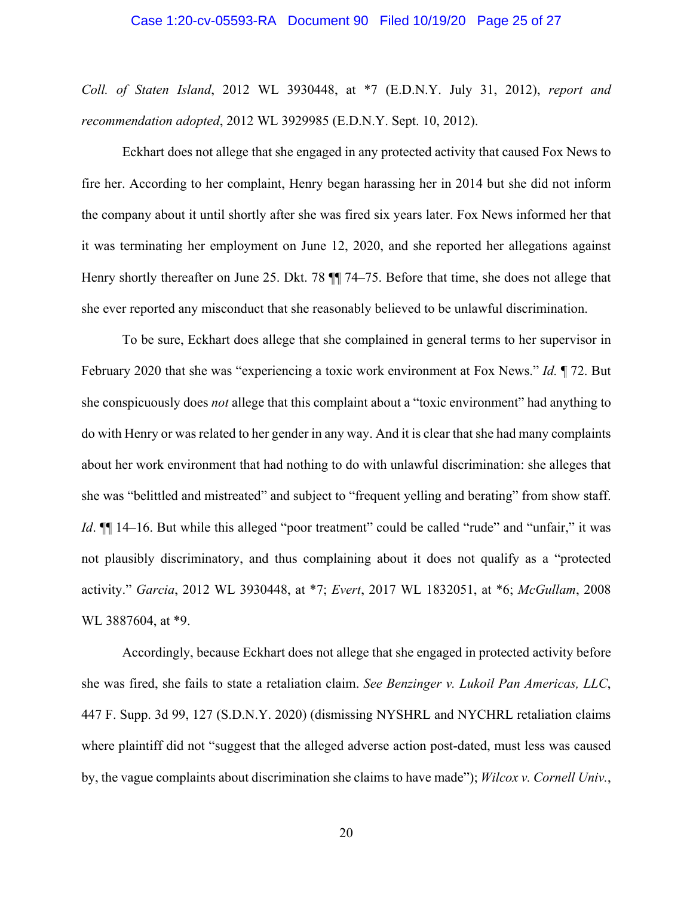### Case 1:20-cv-05593-RA Document 90 Filed 10/19/20 Page 25 of 27

*Coll. of Staten Island*, 2012 WL 3930448, at \*7 (E.D.N.Y. July 31, 2012), *report and recommendation adopted*, 2012 WL 3929985 (E.D.N.Y. Sept. 10, 2012).

 Eckhart does not allege that she engaged in any protected activity that caused Fox News to fire her. According to her complaint, Henry began harassing her in 2014 but she did not inform the company about it until shortly after she was fired six years later. Fox News informed her that it was terminating her employment on June 12, 2020, and she reported her allegations against Henry shortly thereafter on June 25. Dkt. 78 ¶¶ 74–75. Before that time, she does not allege that she ever reported any misconduct that she reasonably believed to be unlawful discrimination.

 To be sure, Eckhart does allege that she complained in general terms to her supervisor in February 2020 that she was "experiencing a toxic work environment at Fox News." *Id.* ¶ 72. But she conspicuously does *not* allege that this complaint about a "toxic environment" had anything to do with Henry or was related to her gender in any way. And it is clear that she had many complaints about her work environment that had nothing to do with unlawful discrimination: she alleges that she was "belittled and mistreated" and subject to "frequent yelling and berating" from show staff. *Id*.  $\P$ [14–16. But while this alleged "poor treatment" could be called "rude" and "unfair," it was not plausibly discriminatory, and thus complaining about it does not qualify as a "protected activity." *Garcia*, 2012 WL 3930448, at \*7; *Evert*, 2017 WL 1832051, at \*6; *McGullam*, 2008 WL 3887604, at \*9.

 Accordingly, because Eckhart does not allege that she engaged in protected activity before she was fired, she fails to state a retaliation claim. *See Benzinger v. Lukoil Pan Americas, LLC*, 447 F. Supp. 3d 99, 127 (S.D.N.Y. 2020) (dismissing NYSHRL and NYCHRL retaliation claims where plaintiff did not "suggest that the alleged adverse action post-dated, must less was caused by, the vague complaints about discrimination she claims to have made"); *Wilcox v. Cornell Univ.*,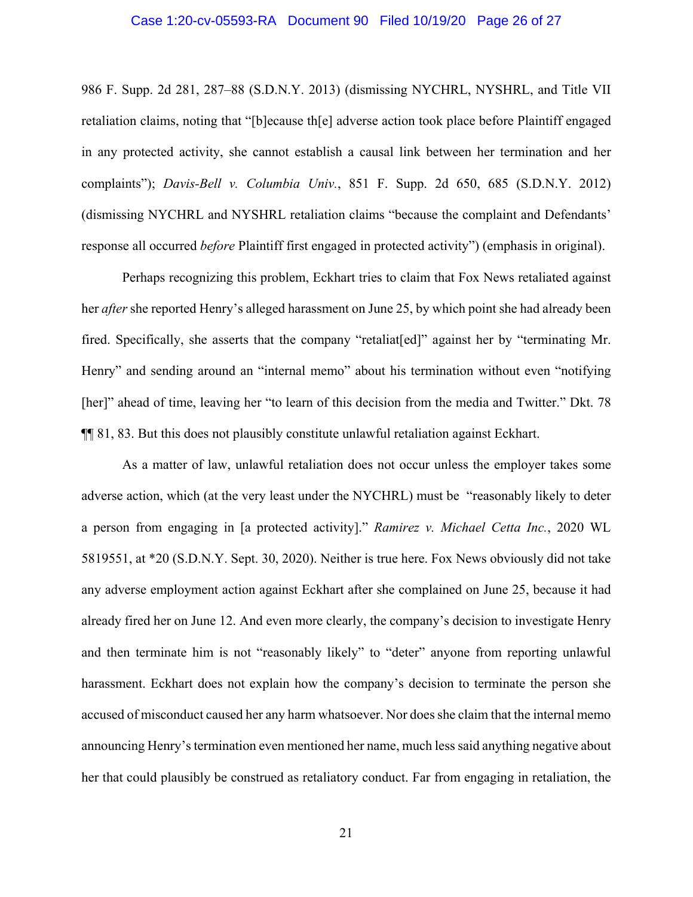## Case 1:20-cv-05593-RA Document 90 Filed 10/19/20 Page 26 of 27

986 F. Supp. 2d 281, 287–88 (S.D.N.Y. 2013) (dismissing NYCHRL, NYSHRL, and Title VII retaliation claims, noting that "[b]ecause th[e] adverse action took place before Plaintiff engaged in any protected activity, she cannot establish a causal link between her termination and her complaints"); *Davis-Bell v. Columbia Univ.*, 851 F. Supp. 2d 650, 685 (S.D.N.Y. 2012) (dismissing NYCHRL and NYSHRL retaliation claims "because the complaint and Defendants' response all occurred *before* Plaintiff first engaged in protected activity") (emphasis in original).

 Perhaps recognizing this problem, Eckhart tries to claim that Fox News retaliated against her *after* she reported Henry's alleged harassment on June 25, by which point she had already been fired. Specifically, she asserts that the company "retaliat [ed]" against her by "terminating Mr. Henry" and sending around an "internal memo" about his termination without even "notifying [her]" ahead of time, leaving her "to learn of this decision from the media and Twitter." Dkt. 78 ¶¶ 81, 83. But this does not plausibly constitute unlawful retaliation against Eckhart.

 As a matter of law, unlawful retaliation does not occur unless the employer takes some adverse action, which (at the very least under the NYCHRL) must be "reasonably likely to deter a person from engaging in [a protected activity]." *Ramirez v. Michael Cetta Inc.*, 2020 WL 5819551, at \*20 (S.D.N.Y. Sept. 30, 2020). Neither is true here. Fox News obviously did not take any adverse employment action against Eckhart after she complained on June 25, because it had already fired her on June 12. And even more clearly, the company's decision to investigate Henry and then terminate him is not "reasonably likely" to "deter" anyone from reporting unlawful harassment. Eckhart does not explain how the company's decision to terminate the person she accused of misconduct caused her any harm whatsoever. Nor does she claim that the internal memo announcing Henry's termination even mentioned her name, much less said anything negative about her that could plausibly be construed as retaliatory conduct. Far from engaging in retaliation, the